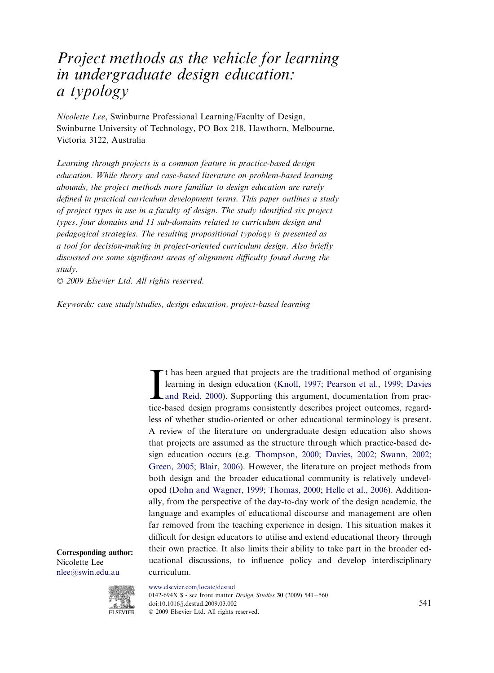# Project methods as the vehicle for learning in undergraduate design education: a typology

Nicolette Lee, Swinburne Professional Learning/Faculty of Design, Swinburne University of Technology, PO Box 218, Hawthorn, Melbourne, Victoria 3122, Australia

Learning through projects is a common feature in practice-based design education. While theory and case-based literature on problem-based learning abounds, the project methods more familiar to design education are rarely defined in practical curriculum development terms. This paper outlines a study of project types in use in a faculty of design. The study identified six project types, four domains and 11 sub-domains related to curriculum design and pedagogical strategies. The resulting propositional typology is presented as a tool for decision-making in project-oriented curriculum design. Also briefly discussed are some significant areas of alignment difficulty found during the study.

© 2009 Elsevier Ltd. All rights reserved.

Keywords: case study/studies, design education, project-based learning

It has been argued that projects are the traditional method of organising learning in design education (Knoll, 1997; Pearson et al., 1999; Davies and Reid, 2000). Supporting this argument, documentation from practice-based t has been argued that projects are the traditional method of organising learning in design education [\(Knoll, 1997; Pearson et al., 1999; Davies](#page-18-0) [and Reid, 2000](#page-18-0)). Supporting this argument, documentation from pracless of whether studio-oriented or other educational terminology is present. A review of the literature on undergraduate design education also shows that projects are assumed as the structure through which practice-based design education occurs (e.g. [Thompson, 2000; Davies, 2002; Swann, 2002;](#page-19-0) [Green, 2005;](#page-19-0) [Blair, 2006\)](#page-17-0). However, the literature on project methods from both design and the broader educational community is relatively undeveloped ([Dohn and Wagner, 1999; Thomas, 2000](#page-17-0); [Helle et al., 2006\)](#page-18-0). Additionally, from the perspective of the day-to-day work of the design academic, the language and examples of educational discourse and management are often far removed from the teaching experience in design. This situation makes it difficult for design educators to utilise and extend educational theory through their own practice. It also limits their ability to take part in the broader educational discussions, to influence policy and develop interdisciplinary curriculum.

Corresponding author: Nicolette Lee [nlee@swin.edu.au](mailto:nlee@swin.edu.au)



[www.elsevier.com/locate/destud](http://www.elsevier.com/locate/destud) 0142-694X  $\frac{1}{5}$  - see front matter *Design Studies* 30 (2009) 541-560 doi:10.1016/j.destud.2009.03.002 541  $© 2009$  Elsevier Ltd. All rights reserved.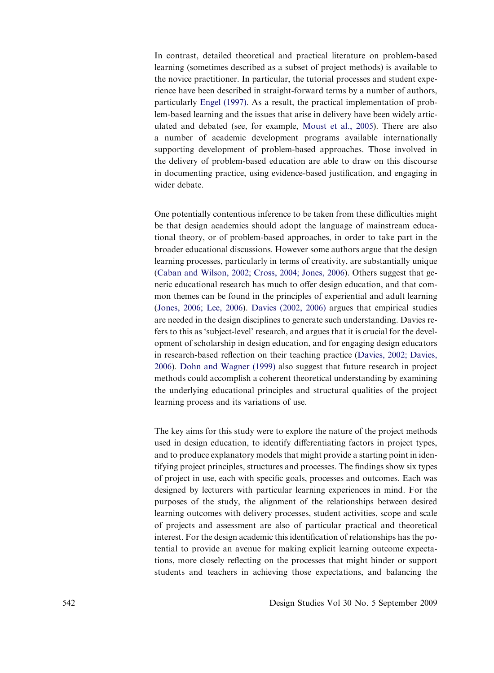In contrast, detailed theoretical and practical literature on problem-based learning (sometimes described as a subset of project methods) is available to the novice practitioner. In particular, the tutorial processes and student experience have been described in straight-forward terms by a number of authors, particularly [Engel \(1997\).](#page-17-0) As a result, the practical implementation of problem-based learning and the issues that arise in delivery have been widely articulated and debated (see, for example, [Moust et al., 2005](#page-18-0)). There are also a number of academic development programs available internationally supporting development of problem-based approaches. Those involved in the delivery of problem-based education are able to draw on this discourse in documenting practice, using evidence-based justification, and engaging in wider debate.

One potentially contentious inference to be taken from these difficulties might be that design academics should adopt the language of mainstream educational theory, or of problem-based approaches, in order to take part in the broader educational discussions. However some authors argue that the design learning processes, particularly in terms of creativity, are substantially unique [\(Caban and Wilson, 2002; Cross, 2004; Jones, 2006\)](#page-17-0). Others suggest that generic educational research has much to offer design education, and that common themes can be found in the principles of experiential and adult learning [\(Jones, 2006; Lee, 2006\)](#page-18-0). [Davies \(2002, 2006\)](#page-17-0) argues that empirical studies are needed in the design disciplines to generate such understanding. Davies refers to this as 'subject-level' research, and argues that it is crucial for the development of scholarship in design education, and for engaging design educators in research-based reflection on their teaching practice [\(Davies, 2002; Davies,](#page-17-0) [2006](#page-17-0)). [Dohn and Wagner \(1999\)](#page-17-0) also suggest that future research in project methods could accomplish a coherent theoretical understanding by examining the underlying educational principles and structural qualities of the project learning process and its variations of use.

The key aims for this study were to explore the nature of the project methods used in design education, to identify differentiating factors in project types, and to produce explanatory models that might provide a starting point in identifying project principles, structures and processes. The findings show six types of project in use, each with specific goals, processes and outcomes. Each was designed by lecturers with particular learning experiences in mind. For the purposes of the study, the alignment of the relationships between desired learning outcomes with delivery processes, student activities, scope and scale of projects and assessment are also of particular practical and theoretical interest. For the design academic this identification of relationships has the potential to provide an avenue for making explicit learning outcome expectations, more closely reflecting on the processes that might hinder or support students and teachers in achieving those expectations, and balancing the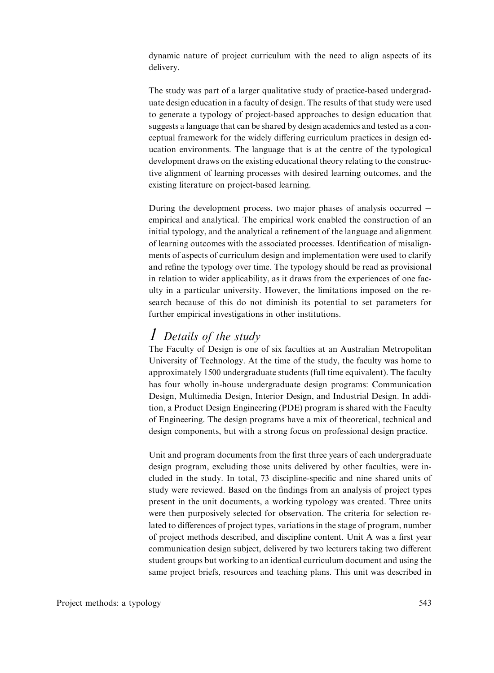dynamic nature of project curriculum with the need to align aspects of its delivery.

The study was part of a larger qualitative study of practice-based undergraduate design education in a faculty of design. The results of that study were used to generate a typology of project-based approaches to design education that suggests a language that can be shared by design academics and tested as a conceptual framework for the widely differing curriculum practices in design education environments. The language that is at the centre of the typological development draws on the existing educational theory relating to the constructive alignment of learning processes with desired learning outcomes, and the existing literature on project-based learning.

During the development process, two major phases of analysis occurred  $$ empirical and analytical. The empirical work enabled the construction of an initial typology, and the analytical a refinement of the language and alignment of learning outcomes with the associated processes. Identification of misalignments of aspects of curriculum design and implementation were used to clarify and refine the typology over time. The typology should be read as provisional in relation to wider applicability, as it draws from the experiences of one faculty in a particular university. However, the limitations imposed on the research because of this do not diminish its potential to set parameters for further empirical investigations in other institutions.

### 1 Details of the study

The Faculty of Design is one of six faculties at an Australian Metropolitan University of Technology. At the time of the study, the faculty was home to approximately 1500 undergraduate students (full time equivalent). The faculty has four wholly in-house undergraduate design programs: Communication Design, Multimedia Design, Interior Design, and Industrial Design. In addition, a Product Design Engineering (PDE) program is shared with the Faculty of Engineering. The design programs have a mix of theoretical, technical and design components, but with a strong focus on professional design practice.

Unit and program documents from the first three years of each undergraduate design program, excluding those units delivered by other faculties, were included in the study. In total, 73 discipline-specific and nine shared units of study were reviewed. Based on the findings from an analysis of project types present in the unit documents, a working typology was created. Three units were then purposively selected for observation. The criteria for selection related to differences of project types, variations in the stage of program, number of project methods described, and discipline content. Unit A was a first year communication design subject, delivered by two lecturers taking two different student groups but working to an identical curriculum document and using the same project briefs, resources and teaching plans. This unit was described in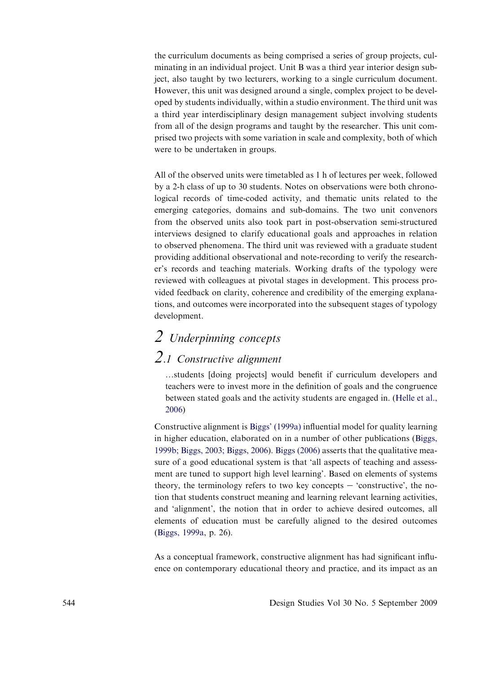the curriculum documents as being comprised a series of group projects, culminating in an individual project. Unit B was a third year interior design subject, also taught by two lecturers, working to a single curriculum document. However, this unit was designed around a single, complex project to be developed by students individually, within a studio environment. The third unit was a third year interdisciplinary design management subject involving students from all of the design programs and taught by the researcher. This unit comprised two projects with some variation in scale and complexity, both of which were to be undertaken in groups.

All of the observed units were timetabled as 1 h of lectures per week, followed by a 2-h class of up to 30 students. Notes on observations were both chronological records of time-coded activity, and thematic units related to the emerging categories, domains and sub-domains. The two unit convenors from the observed units also took part in post-observation semi-structured interviews designed to clarify educational goals and approaches in relation to observed phenomena. The third unit was reviewed with a graduate student providing additional observational and note-recording to verify the researcher's records and teaching materials. Working drafts of the typology were reviewed with colleagues at pivotal stages in development. This process provided feedback on clarity, coherence and credibility of the emerging explanations, and outcomes were incorporated into the subsequent stages of typology development.

# 2 Underpinning concepts

# 2.1 Constructive alignment

...students [doing projects] would benefit if curriculum developers and teachers were to invest more in the definition of goals and the congruence between stated goals and the activity students are engaged in. [\(Helle et al.,](#page-18-0) [2006](#page-18-0))

Constructive alignment is [Biggs' \(1999a\)](#page-17-0) influential model for quality learning in higher education, elaborated on in a number of other publications ([Biggs,](#page-17-0) [1999b; Biggs, 2003; Biggs, 2006](#page-17-0)). [Biggs \(2006\)](#page-17-0) asserts that the qualitative measure of a good educational system is that 'all aspects of teaching and assessment are tuned to support high level learning'. Based on elements of systems theory, the terminology refers to two key concepts  $-$  'constructive', the notion that students construct meaning and learning relevant learning activities, and 'alignment', the notion that in order to achieve desired outcomes, all elements of education must be carefully aligned to the desired outcomes [\(Biggs, 1999a,](#page-17-0) p. 26).

As a conceptual framework, constructive alignment has had significant influence on contemporary educational theory and practice, and its impact as an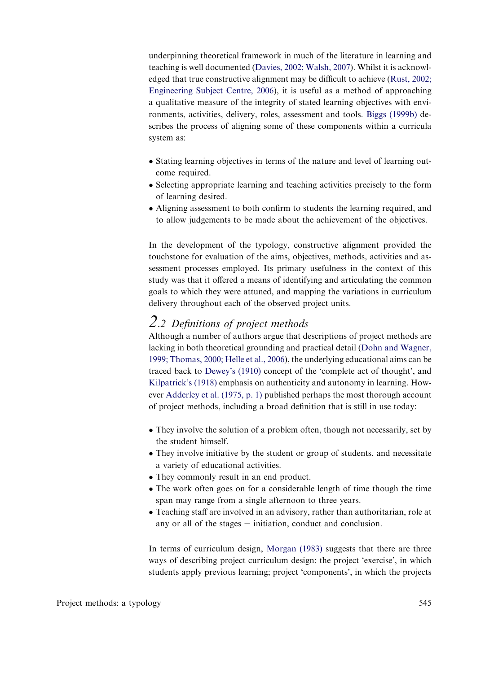underpinning theoretical framework in much of the literature in learning and teaching is well documented [\(Davies, 2002; Walsh, 2007](#page-17-0)). Whilst it is acknowledged that true constructive alignment may be difficult to achieve [\(Rust, 2002;](#page-18-0) [Engineering Subject Centre, 2006\)](#page-18-0), it is useful as a method of approaching a qualitative measure of the integrity of stated learning objectives with environments, activities, delivery, roles, assessment and tools. [Biggs \(1999b\)](#page-17-0) describes the process of aligning some of these components within a curricula system as:

- Stating learning objectives in terms of the nature and level of learning outcome required.
- Selecting appropriate learning and teaching activities precisely to the form of learning desired.
- Aligning assessment to both confirm to students the learning required, and to allow judgements to be made about the achievement of the objectives.

In the development of the typology, constructive alignment provided the touchstone for evaluation of the aims, objectives, methods, activities and assessment processes employed. Its primary usefulness in the context of this study was that it offered a means of identifying and articulating the common goals to which they were attuned, and mapping the variations in curriculum delivery throughout each of the observed project units.

### 2.2 Definitions of project methods

Although a number of authors argue that descriptions of project methods are lacking in both theoretical grounding and practical detail [\(Dohn and Wagner,](#page-17-0) [1999; Thomas, 2000; Helle et al., 2006\)](#page-17-0), the underlying educational aims can be traced back to [Dewey's \(1910\)](#page-17-0) concept of the 'complete act of thought', and [Kilpatrick's \(1918\)](#page-18-0) emphasis on authenticity and autonomy in learning. However [Adderley et al. \(1975, p. 1\)](#page-17-0) published perhaps the most thorough account of project methods, including a broad definition that is still in use today:

- They involve the solution of a problem often, though not necessarily, set by the student himself.
- They involve initiative by the student or group of students, and necessitate a variety of educational activities.
- They commonly result in an end product.
- The work often goes on for a considerable length of time though the time span may range from a single afternoon to three years.
- Teaching staff are involved in an advisory, rather than authoritarian, role at any or all of the stages  $-$  initiation, conduct and conclusion.

In terms of curriculum design, [Morgan \(1983\)](#page-18-0) suggests that there are three ways of describing project curriculum design: the project 'exercise', in which students apply previous learning; project 'components', in which the projects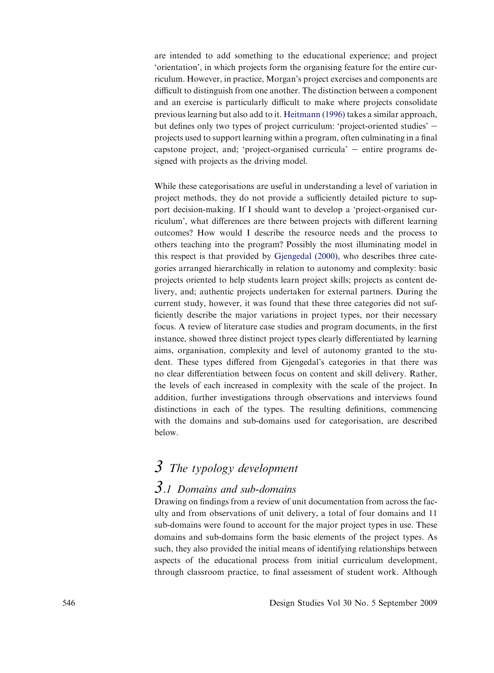are intended to add something to the educational experience; and project 'orientation', in which projects form the organising feature for the entire curriculum. However, in practice, Morgan's project exercises and components are difficult to distinguish from one another. The distinction between a component and an exercise is particularly difficult to make where projects consolidate previous learning but also add to it. [Heitmann \(1996\)](#page-18-0) takes a similar approach, but defines only two types of project curriculum: 'project-oriented studies'  $$ projects used to support learning within a program, often culminating in a final capstone project, and; 'project-organised curricula'  $-$  entire programs designed with projects as the driving model.

While these categorisations are useful in understanding a level of variation in project methods, they do not provide a sufficiently detailed picture to support decision-making. If I should want to develop a 'project-organised curriculum', what differences are there between projects with different learning outcomes? How would I describe the resource needs and the process to others teaching into the program? Possibly the most illuminating model in this respect is that provided by [Gjengedal \(2000\)](#page-18-0), who describes three categories arranged hierarchically in relation to autonomy and complexity: basic projects oriented to help students learn project skills; projects as content delivery, and; authentic projects undertaken for external partners. During the current study, however, it was found that these three categories did not sufficiently describe the major variations in project types, nor their necessary focus. A review of literature case studies and program documents, in the first instance, showed three distinct project types clearly differentiated by learning aims, organisation, complexity and level of autonomy granted to the student. These types differed from Gjengedal's categories in that there was no clear differentiation between focus on content and skill delivery. Rather, the levels of each increased in complexity with the scale of the project. In addition, further investigations through observations and interviews found distinctions in each of the types. The resulting definitions, commencing with the domains and sub-domains used for categorisation, are described below.

# 3 The typology development

# 3.1 Domains and sub-domains

Drawing on findings from a review of unit documentation from across the faculty and from observations of unit delivery, a total of four domains and 11 sub-domains were found to account for the major project types in use. These domains and sub-domains form the basic elements of the project types. As such, they also provided the initial means of identifying relationships between aspects of the educational process from initial curriculum development, through classroom practice, to final assessment of student work. Although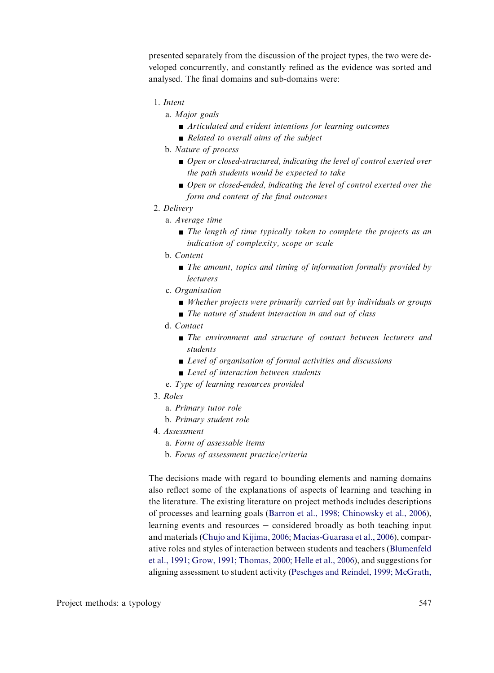presented separately from the discussion of the project types, the two were developed concurrently, and constantly refined as the evidence was sorted and analysed. The final domains and sub-domains were:

- 1. Intent
	- a. Major goals
		- $\blacksquare$  Articulated and evident intentions for learning outcomes
		- $\blacksquare$  Related to overall aims of the subject
	- b. Nature of process
		- $\Box$  Open or closed-structured, indicating the level of control exerted over the path students would be expected to take
		- $\Box$  Open or closed-ended, indicating the level of control exerted over the form and content of the final outcomes
- 2. Delivery
	- a. Average time
		- $\blacksquare$  The length of time typically taken to complete the projects as an indication of complexity, scope or scale
	- b. Content
		- $\blacksquare$  The amount, topics and timing of information formally provided by lecturers
	- c. Organisation
		- $\blacksquare$  Whether projects were primarily carried out by individuals or groups
		- $\blacksquare$  The nature of student interaction in and out of class
	- d. Contact
		- $\blacksquare$  The environment and structure of contact between lecturers and students
		- $\blacksquare$  Level of organisation of formal activities and discussions
		- $\blacksquare$  Level of interaction between students
	- e. Type of learning resources provided
- 3. Roles
	- a. Primary tutor role
	- b. Primary student role
- 4. Assessment
	- a. Form of assessable items
	- b. Focus of assessment practice/criteria

The decisions made with regard to bounding elements and naming domains also reflect some of the explanations of aspects of learning and teaching in the literature. The existing literature on project methods includes descriptions of processes and learning goals [\(Barron et al., 1998; Chinowsky et al., 2006](#page-17-0)), learning events and resources  $-$  considered broadly as both teaching input and materials [\(Chujo and Kijima, 2006; Macias-Guarasa et al., 2006](#page-17-0)), comparative roles and styles of interaction between students and teachers ([Blumenfeld](#page-17-0) [et al., 1991; Grow, 1991; Thomas, 2000; Helle et al., 2006\)](#page-17-0), and suggestions for aligning assessment to student activity [\(Peschges and Reindel, 1999; McGrath,](#page-18-0)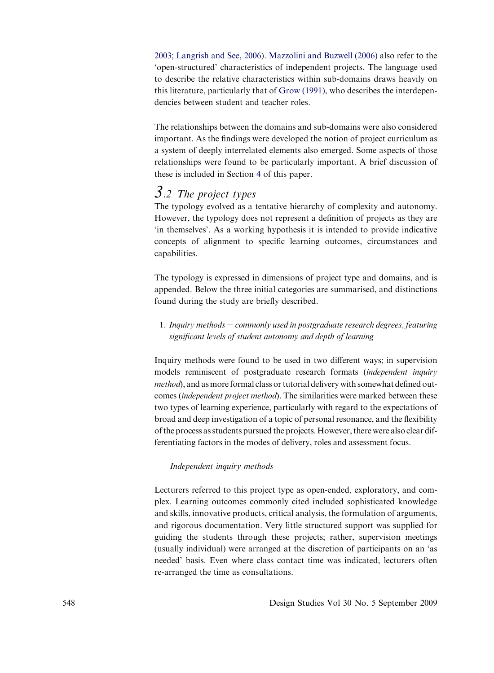[2003; Langrish and See, 2006\)](#page-18-0). [Mazzolini and Buzwell \(2006\)](#page-18-0) also refer to the 'open-structured' characteristics of independent projects. The language used to describe the relative characteristics within sub-domains draws heavily on this literature, particularly that of [Grow \(1991\)](#page-18-0), who describes the interdependencies between student and teacher roles.

The relationships between the domains and sub-domains were also considered important. As the findings were developed the notion of project curriculum as a system of deeply interrelated elements also emerged. Some aspects of those relationships were found to be particularly important. A brief discussion of these is included in Section 4 of this paper.

# 3.2 The project types

The typology evolved as a tentative hierarchy of complexity and autonomy. However, the typology does not represent a definition of projects as they are 'in themselves'. As a working hypothesis it is intended to provide indicative concepts of alignment to specific learning outcomes, circumstances and capabilities.

The typology is expressed in dimensions of project type and domains, and is appended. Below the three initial categories are summarised, and distinctions found during the study are briefly described.

1. Inquiry methods  $-$  commonly used in postgraduate research degrees, featuring significant levels of student autonomy and depth of learning

Inquiry methods were found to be used in two different ways; in supervision models reminiscent of postgraduate research formats (independent inquiry method), and as more formal class or tutorial delivery with somewhat defined outcomes (independent project method). The similarities were marked between these two types of learning experience, particularly with regard to the expectations of broad and deep investigation of a topic of personal resonance, and the flexibility of the process as students pursued the projects. However, there were also clear differentiating factors in the modes of delivery, roles and assessment focus.

#### Independent inquiry methods

Lecturers referred to this project type as open-ended, exploratory, and complex. Learning outcomes commonly cited included sophisticated knowledge and skills, innovative products, critical analysis, the formulation of arguments, and rigorous documentation. Very little structured support was supplied for guiding the students through these projects; rather, supervision meetings (usually individual) were arranged at the discretion of participants on an 'as needed' basis. Even where class contact time was indicated, lecturers often re-arranged the time as consultations.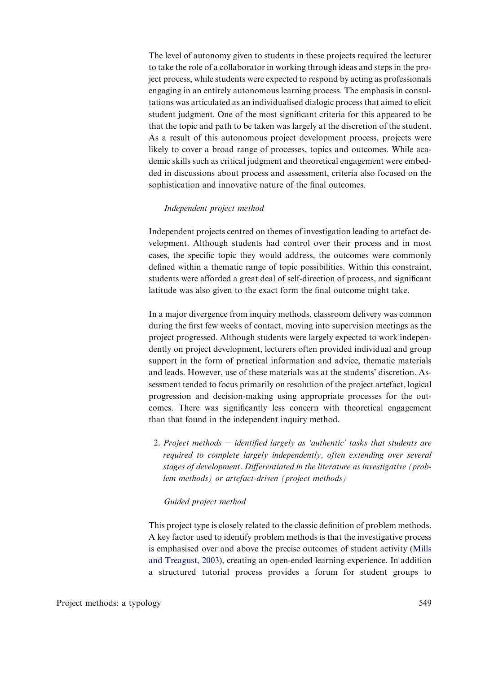The level of autonomy given to students in these projects required the lecturer to take the role of a collaborator in working through ideas and steps in the project process, while students were expected to respond by acting as professionals engaging in an entirely autonomous learning process. The emphasis in consultations was articulated as an individualised dialogic process that aimed to elicit student judgment. One of the most significant criteria for this appeared to be that the topic and path to be taken was largely at the discretion of the student. As a result of this autonomous project development process, projects were likely to cover a broad range of processes, topics and outcomes. While academic skills such as critical judgment and theoretical engagement were embedded in discussions about process and assessment, criteria also focused on the sophistication and innovative nature of the final outcomes.

#### Independent project method

Independent projects centred on themes of investigation leading to artefact development. Although students had control over their process and in most cases, the specific topic they would address, the outcomes were commonly defined within a thematic range of topic possibilities. Within this constraint, students were afforded a great deal of self-direction of process, and significant latitude was also given to the exact form the final outcome might take.

In a major divergence from inquiry methods, classroom delivery was common during the first few weeks of contact, moving into supervision meetings as the project progressed. Although students were largely expected to work independently on project development, lecturers often provided individual and group support in the form of practical information and advice, thematic materials and leads. However, use of these materials was at the students' discretion. Assessment tended to focus primarily on resolution of the project artefact, logical progression and decision-making using appropriate processes for the outcomes. There was significantly less concern with theoretical engagement than that found in the independent inquiry method.

2. Project methods  $-$  identified largely as 'authentic' tasks that students are required to complete largely independently, often extending over several stages of development. Differentiated in the literature as investigative (problem methods) or artefact-driven (project methods)

#### Guided project method

This project type is closely related to the classic definition of problem methods. A key factor used to identify problem methods is that the investigative process is emphasised over and above the precise outcomes of student activity [\(Mills](#page-18-0) [and Treagust, 2003\)](#page-18-0), creating an open-ended learning experience. In addition a structured tutorial process provides a forum for student groups to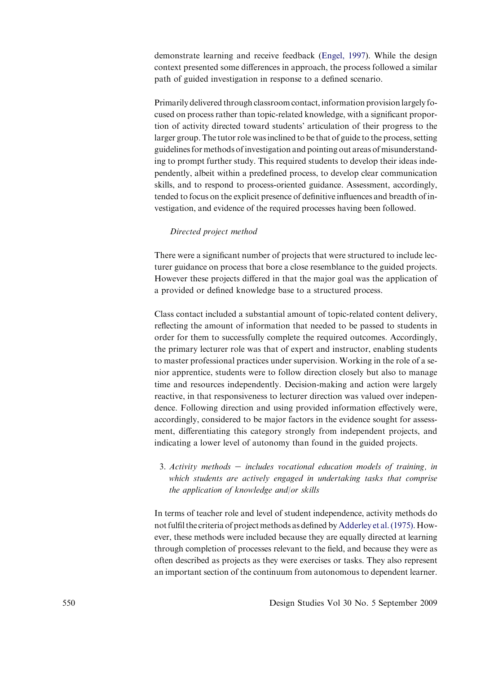demonstrate learning and receive feedback ([Engel, 1997\)](#page-17-0). While the design context presented some differences in approach, the process followed a similar path of guided investigation in response to a defined scenario.

Primarily delivered through classroom contact, information provision largely focused on process rather than topic-related knowledge, with a significant proportion of activity directed toward students' articulation of their progress to the larger group. The tutor role was inclined to be that of guide to the process, setting guidelines for methods of investigation and pointing out areas of misunderstanding to prompt further study. This required students to develop their ideas independently, albeit within a predefined process, to develop clear communication skills, and to respond to process-oriented guidance. Assessment, accordingly, tended to focus on the explicit presence of definitive influences and breadth of investigation, and evidence of the required processes having been followed.

#### Directed project method

There were a significant number of projects that were structured to include lecturer guidance on process that bore a close resemblance to the guided projects. However these projects differed in that the major goal was the application of a provided or defined knowledge base to a structured process.

Class contact included a substantial amount of topic-related content delivery, reflecting the amount of information that needed to be passed to students in order for them to successfully complete the required outcomes. Accordingly, the primary lecturer role was that of expert and instructor, enabling students to master professional practices under supervision. Working in the role of a senior apprentice, students were to follow direction closely but also to manage time and resources independently. Decision-making and action were largely reactive, in that responsiveness to lecturer direction was valued over independence. Following direction and using provided information effectively were, accordingly, considered to be major factors in the evidence sought for assessment, differentiating this category strongly from independent projects, and indicating a lower level of autonomy than found in the guided projects.

3. Activity methods  $-$  includes vocational education models of training, in which students are actively engaged in undertaking tasks that comprise the application of knowledge and/or skills

In terms of teacher role and level of student independence, activity methods do not fulfil the criteria of project methods as defined by [Adderley et al. \(1975\)](#page-17-0). However, these methods were included because they are equally directed at learning through completion of processes relevant to the field, and because they were as often described as projects as they were exercises or tasks. They also represent an important section of the continuum from autonomous to dependent learner.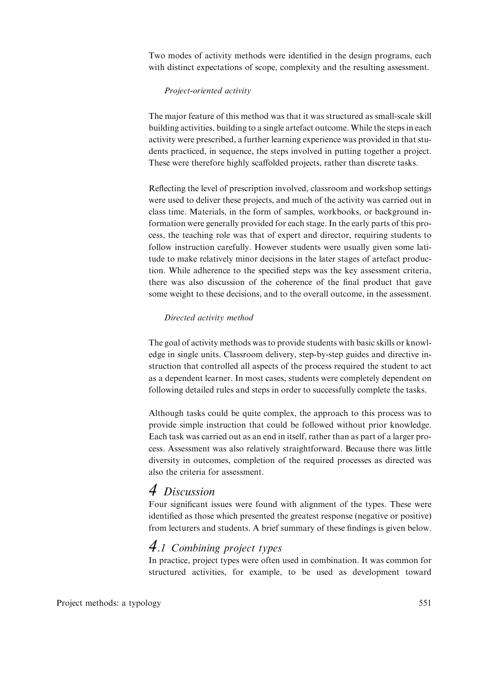Two modes of activity methods were identified in the design programs, each with distinct expectations of scope, complexity and the resulting assessment.

#### Project-oriented activity

The major feature of this method was that it was structured as small-scale skill building activities, building to a single artefact outcome. While the steps in each activity were prescribed, a further learning experience was provided in that students practiced, in sequence, the steps involved in putting together a project. These were therefore highly scaffolded projects, rather than discrete tasks.

Reflecting the level of prescription involved, classroom and workshop settings were used to deliver these projects, and much of the activity was carried out in class time. Materials, in the form of samples, workbooks, or background information were generally provided for each stage. In the early parts of this process, the teaching role was that of expert and director, requiring students to follow instruction carefully. However students were usually given some latitude to make relatively minor decisions in the later stages of artefact production. While adherence to the specified steps was the key assessment criteria, there was also discussion of the coherence of the final product that gave some weight to these decisions, and to the overall outcome, in the assessment.

#### Directed activity method

The goal of activity methods was to provide students with basic skills or knowledge in single units. Classroom delivery, step-by-step guides and directive instruction that controlled all aspects of the process required the student to act as a dependent learner. In most cases, students were completely dependent on following detailed rules and steps in order to successfully complete the tasks.

Although tasks could be quite complex, the approach to this process was to provide simple instruction that could be followed without prior knowledge. Each task was carried out as an end in itself, rather than as part of a larger process. Assessment was also relatively straightforward. Because there was little diversity in outcomes, completion of the required processes as directed was also the criteria for assessment.

# 4 Discussion

Four significant issues were found with alignment of the types. These were identified as those which presented the greatest response (negative or positive) from lecturers and students. A brief summary of these findings is given below.

# 4.1 Combining project types

In practice, project types were often used in combination. It was common for structured activities, for example, to be used as development toward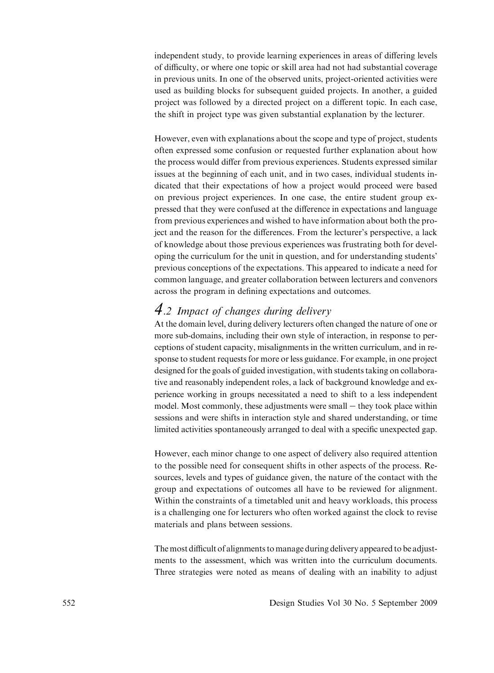independent study, to provide learning experiences in areas of differing levels of difficulty, or where one topic or skill area had not had substantial coverage in previous units. In one of the observed units, project-oriented activities were used as building blocks for subsequent guided projects. In another, a guided project was followed by a directed project on a different topic. In each case, the shift in project type was given substantial explanation by the lecturer.

However, even with explanations about the scope and type of project, students often expressed some confusion or requested further explanation about how the process would differ from previous experiences. Students expressed similar issues at the beginning of each unit, and in two cases, individual students indicated that their expectations of how a project would proceed were based on previous project experiences. In one case, the entire student group expressed that they were confused at the difference in expectations and language from previous experiences and wished to have information about both the project and the reason for the differences. From the lecturer's perspective, a lack of knowledge about those previous experiences was frustrating both for developing the curriculum for the unit in question, and for understanding students' previous conceptions of the expectations. This appeared to indicate a need for common language, and greater collaboration between lecturers and convenors across the program in defining expectations and outcomes.

# 4.2 Impact of changes during delivery

At the domain level, during delivery lecturers often changed the nature of one or more sub-domains, including their own style of interaction, in response to perceptions of student capacity, misalignments in the written curriculum, and in response to student requests for more or less guidance. For example, in one project designed for the goals of guided investigation, with students taking on collaborative and reasonably independent roles, a lack of background knowledge and experience working in groups necessitated a need to shift to a less independent model. Most commonly, these adjustments were small  $-$  they took place within sessions and were shifts in interaction style and shared understanding, or time limited activities spontaneously arranged to deal with a specific unexpected gap.

However, each minor change to one aspect of delivery also required attention to the possible need for consequent shifts in other aspects of the process. Resources, levels and types of guidance given, the nature of the contact with the group and expectations of outcomes all have to be reviewed for alignment. Within the constraints of a timetabled unit and heavy workloads, this process is a challenging one for lecturers who often worked against the clock to revise materials and plans between sessions.

The most difficult of alignments to manage during delivery appeared to be adjustments to the assessment, which was written into the curriculum documents. Three strategies were noted as means of dealing with an inability to adjust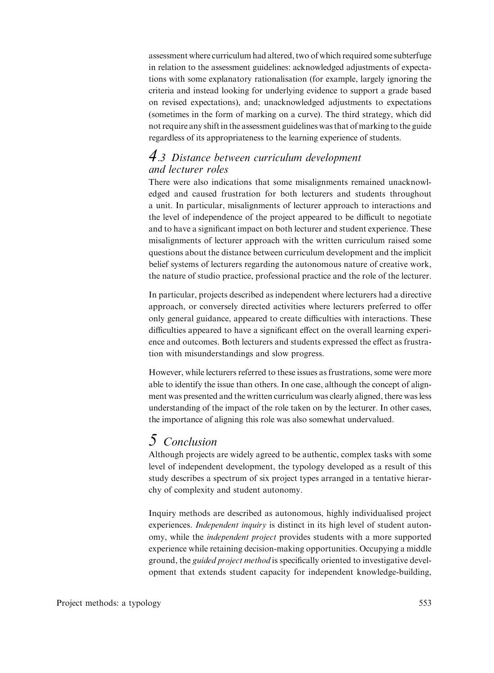assessment where curriculum had altered, two of which required some subterfuge in relation to the assessment guidelines: acknowledged adjustments of expectations with some explanatory rationalisation (for example, largely ignoring the criteria and instead looking for underlying evidence to support a grade based on revised expectations), and; unacknowledged adjustments to expectations (sometimes in the form of marking on a curve). The third strategy, which did not require any shift in the assessment guidelines was that of marking to the guide regardless of its appropriateness to the learning experience of students.

### 4.3 Distance between curriculum development and lecturer roles

There were also indications that some misalignments remained unacknowledged and caused frustration for both lecturers and students throughout a unit. In particular, misalignments of lecturer approach to interactions and the level of independence of the project appeared to be difficult to negotiate and to have a significant impact on both lecturer and student experience. These misalignments of lecturer approach with the written curriculum raised some questions about the distance between curriculum development and the implicit belief systems of lecturers regarding the autonomous nature of creative work, the nature of studio practice, professional practice and the role of the lecturer.

In particular, projects described as independent where lecturers had a directive approach, or conversely directed activities where lecturers preferred to offer only general guidance, appeared to create difficulties with interactions. These difficulties appeared to have a significant effect on the overall learning experience and outcomes. Both lecturers and students expressed the effect as frustration with misunderstandings and slow progress.

However, while lecturers referred to these issues as frustrations, some were more able to identify the issue than others. In one case, although the concept of alignment was presented and the written curriculum was clearly aligned, there was less understanding of the impact of the role taken on by the lecturer. In other cases, the importance of aligning this role was also somewhat undervalued.

# 5 Conclusion

Although projects are widely agreed to be authentic, complex tasks with some level of independent development, the typology developed as a result of this study describes a spectrum of six project types arranged in a tentative hierarchy of complexity and student autonomy.

Inquiry methods are described as autonomous, highly individualised project experiences. *Independent inquiry* is distinct in its high level of student autonomy, while the independent project provides students with a more supported experience while retaining decision-making opportunities. Occupying a middle ground, the guided project method is specifically oriented to investigative development that extends student capacity for independent knowledge-building,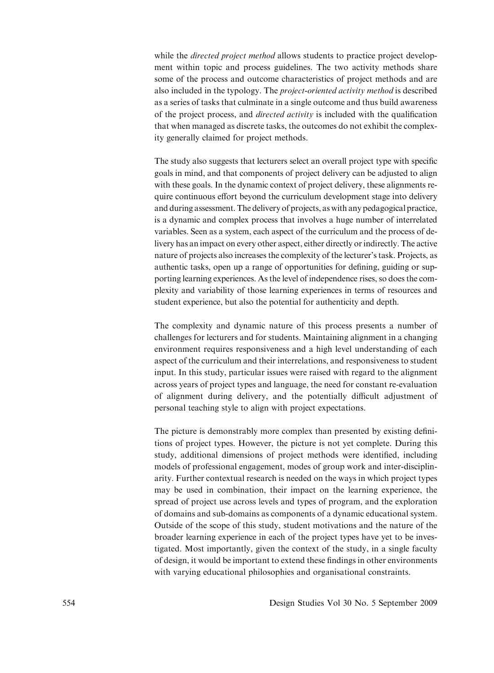while the *directed project method* allows students to practice project development within topic and process guidelines. The two activity methods share some of the process and outcome characteristics of project methods and are also included in the typology. The project-oriented activity method is described as a series of tasks that culminate in a single outcome and thus build awareness of the project process, and directed activity is included with the qualification that when managed as discrete tasks, the outcomes do not exhibit the complexity generally claimed for project methods.

The study also suggests that lecturers select an overall project type with specific goals in mind, and that components of project delivery can be adjusted to align with these goals. In the dynamic context of project delivery, these alignments require continuous effort beyond the curriculum development stage into delivery and during assessment. The delivery of projects, as with any pedagogical practice, is a dynamic and complex process that involves a huge number of interrelated variables. Seen as a system, each aspect of the curriculum and the process of delivery has an impact on every other aspect, either directly or indirectly. The active nature of projects also increases the complexity of the lecturer's task. Projects, as authentic tasks, open up a range of opportunities for defining, guiding or supporting learning experiences. As the level of independence rises, so does the complexity and variability of those learning experiences in terms of resources and student experience, but also the potential for authenticity and depth.

The complexity and dynamic nature of this process presents a number of challenges for lecturers and for students. Maintaining alignment in a changing environment requires responsiveness and a high level understanding of each aspect of the curriculum and their interrelations, and responsiveness to student input. In this study, particular issues were raised with regard to the alignment across years of project types and language, the need for constant re-evaluation of alignment during delivery, and the potentially difficult adjustment of personal teaching style to align with project expectations.

The picture is demonstrably more complex than presented by existing definitions of project types. However, the picture is not yet complete. During this study, additional dimensions of project methods were identified, including models of professional engagement, modes of group work and inter-disciplinarity. Further contextual research is needed on the ways in which project types may be used in combination, their impact on the learning experience, the spread of project use across levels and types of program, and the exploration of domains and sub-domains as components of a dynamic educational system. Outside of the scope of this study, student motivations and the nature of the broader learning experience in each of the project types have yet to be investigated. Most importantly, given the context of the study, in a single faculty of design, it would be important to extend these findings in other environments with varying educational philosophies and organisational constraints.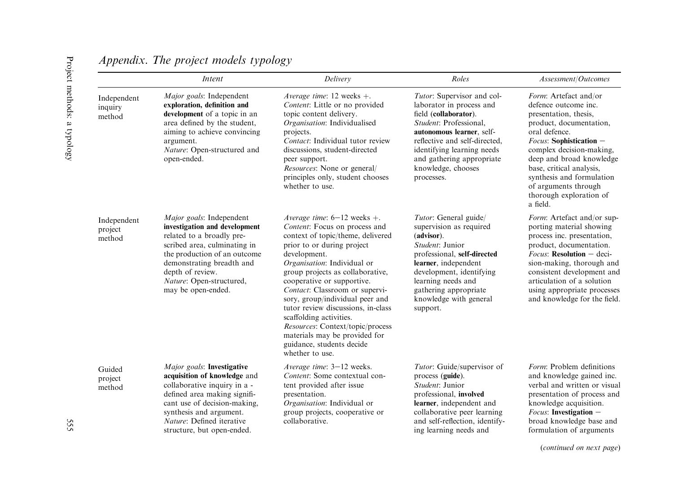| ś            |
|--------------|
| יים הדדה הדד |
| p            |
| J<br>ì<br>7  |

# Appendix. The project models typology

|                                  | <i>Intent</i>                                                                                                                                                                                                                                             | Delivery                                                                                                                                                                                                                                                                                                                                                                                                                                                                                                      | Roles                                                                                                                                                                                                                                                                  | Assessment/Outcomes                                                                                                                                                                                                                                                                                                             |
|----------------------------------|-----------------------------------------------------------------------------------------------------------------------------------------------------------------------------------------------------------------------------------------------------------|---------------------------------------------------------------------------------------------------------------------------------------------------------------------------------------------------------------------------------------------------------------------------------------------------------------------------------------------------------------------------------------------------------------------------------------------------------------------------------------------------------------|------------------------------------------------------------------------------------------------------------------------------------------------------------------------------------------------------------------------------------------------------------------------|---------------------------------------------------------------------------------------------------------------------------------------------------------------------------------------------------------------------------------------------------------------------------------------------------------------------------------|
| Independent<br>inquiry<br>method | Major goals: Independent<br>exploration, definition and<br>development of a topic in an<br>area defined by the student,<br>aiming to achieve convincing<br>argument.<br>Nature: Open-structured and<br>open-ended.                                        | Average time: $12$ weeks $+$ .<br>Content: Little or no provided<br>topic content delivery.<br>Organisation: Individualised<br>projects.<br>Contact: Individual tutor review<br>discussions, student-directed<br>peer support.<br>Resources: None or general/<br>principles only, student chooses<br>whether to use.                                                                                                                                                                                          | Tutor: Supervisor and col-<br>laborator in process and<br>field (collaborator).<br>Student: Professional,<br>autonomous learner, self-<br>reflective and self-directed,<br>identifying learning needs<br>and gathering appropriate<br>knowledge, chooses<br>processes. | Form: Artefact and/or<br>defence outcome inc.<br>presentation, thesis,<br>product, documentation,<br>oral defence.<br>Focus: Sophistication $-$<br>complex decision-making,<br>deep and broad knowledge<br>base, critical analysis,<br>synthesis and formulation<br>of arguments through<br>thorough exploration of<br>a field. |
| Independent<br>project<br>method | Major goals: Independent<br>investigation and development<br>related to a broadly pre-<br>scribed area, culminating in<br>the production of an outcome<br>demonstrating breadth and<br>depth of review.<br>Nature: Open-structured,<br>may be open-ended. | Average time: $6-12$ weeks +.<br>Content: Focus on process and<br>context of topic/theme, delivered<br>prior to or during project<br>development.<br>Organisation: Individual or<br>group projects as collaborative,<br>cooperative or supportive.<br>Contact: Classroom or supervi-<br>sory, group/individual peer and<br>tutor review discussions, in-class<br>scaffolding activities.<br>Resources: Context/topic/process<br>materials may be provided for<br>guidance, students decide<br>whether to use. | Tutor: General guide/<br>supervision as required<br>(advisor).<br>Student: Junior<br>professional, self-directed<br>learner, independent<br>development, identifying<br>learning needs and<br>gathering appropriate<br>knowledge with general<br>support.              | Form: Artefact and/or sup-<br>porting material showing<br>process inc. presentation,<br>product, documentation.<br><i>Focus</i> : <b>Resolution</b> $-$ deci-<br>sion-making, thorough and<br>consistent development and<br>articulation of a solution<br>using appropriate processes<br>and knowledge for the field.           |
| Guided<br>project<br>method      | Major goals: Investigative<br>acquisition of knowledge and<br>collaborative inquiry in a -<br>defined area making signifi-<br>cant use of decision-making,<br>synthesis and argument.<br><i>Nature</i> : Defined iterative<br>structure, but open-ended.  | Average time: $3-12$ weeks.<br>Content: Some contextual con-<br>tent provided after issue<br>presentation.<br>Organisation: Individual or<br>group projects, cooperative or<br>collaborative.                                                                                                                                                                                                                                                                                                                 | Tutor: Guide/supervisor of<br>process (guide).<br>Student: Junior<br>professional, involved<br>learner, independent and<br>collaborative peer learning<br>and self-reflection, identify-<br>ing learning needs and                                                     | Form: Problem definitions<br>and knowledge gained inc.<br>verbal and written or visual<br>presentation of process and<br>knowledge acquisition.<br>Focus: Investigation $-$<br>broad knowledge base and<br>formulation of arguments                                                                                             |

(continued on next page)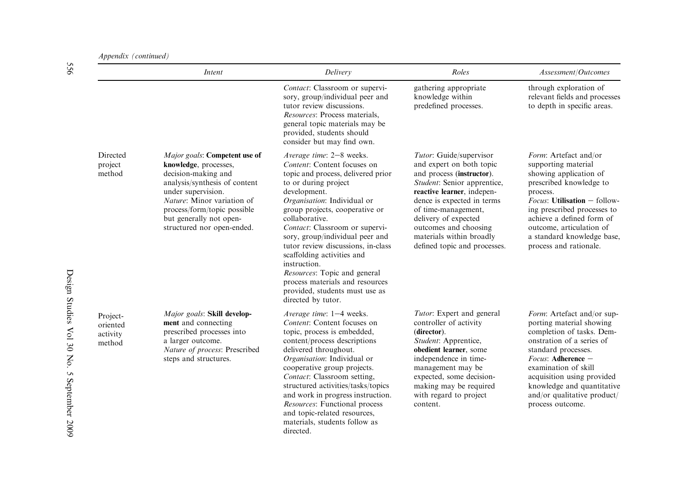Appendix (continued)

|                                            | Intent                                                                                                                                                                                                                                                     | Delivery                                                                                                                                                                                                                                                                                                                                                                                                                                                                                                     | Roles                                                                                                                                                                                                                                                                                                           | Assessment/Outcomes                                                                                                                                                                                                                                                                                     |
|--------------------------------------------|------------------------------------------------------------------------------------------------------------------------------------------------------------------------------------------------------------------------------------------------------------|--------------------------------------------------------------------------------------------------------------------------------------------------------------------------------------------------------------------------------------------------------------------------------------------------------------------------------------------------------------------------------------------------------------------------------------------------------------------------------------------------------------|-----------------------------------------------------------------------------------------------------------------------------------------------------------------------------------------------------------------------------------------------------------------------------------------------------------------|---------------------------------------------------------------------------------------------------------------------------------------------------------------------------------------------------------------------------------------------------------------------------------------------------------|
|                                            |                                                                                                                                                                                                                                                            | Contact: Classroom or supervi-<br>sory, group/individual peer and<br>tutor review discussions.<br>Resources: Process materials.<br>general topic materials may be<br>provided, students should<br>consider but may find own.                                                                                                                                                                                                                                                                                 | gathering appropriate<br>knowledge within<br>predefined processes.                                                                                                                                                                                                                                              | through exploration of<br>relevant fields and processes<br>to depth in specific areas.                                                                                                                                                                                                                  |
| Directed<br>project<br>method              | Major goals: Competent use of<br>knowledge, processes,<br>decision-making and<br>analysis/synthesis of content<br>under supervision.<br>Nature: Minor variation of<br>process/form/topic possible<br>but generally not open-<br>structured nor open-ended. | Average time: 2-8 weeks.<br>Content: Content focuses on<br>topic and process, delivered prior<br>to or during project<br>development.<br>Organisation: Individual or<br>group projects, cooperative or<br>collaborative.<br>Contact: Classroom or supervi-<br>sory, group/individual peer and<br>tutor review discussions, in-class<br>scaffolding activities and<br>instruction.<br>Resources: Topic and general<br>process materials and resources<br>provided, students must use as<br>directed by tutor. | Tutor: Guide/supervisor<br>and expert on both topic<br>and process (instructor).<br>Student: Senior apprentice,<br>reactive learner, indepen-<br>dence is expected in terms<br>of time-management,<br>delivery of expected<br>outcomes and choosing<br>materials within broadly<br>defined topic and processes. | Form: Artefact and/or<br>supporting material<br>showing application of<br>prescribed knowledge to<br>process.<br><i>Focus</i> : Utilisation $-$ follow-<br>ing prescribed processes to<br>achieve a defined form of<br>outcome, articulation of<br>a standard knowledge base,<br>process and rationale. |
| Project-<br>oriented<br>activity<br>method | Major goals: Skill develop-<br>ment and connecting<br>prescribed processes into<br>a larger outcome.<br>Nature of process: Prescribed<br>steps and structures.                                                                                             | Average time: $1-4$ weeks.<br>Content: Content focuses on<br>topic, process is embedded,<br>content/process descriptions<br>delivered throughout.<br>Organisation: Individual or<br>cooperative group projects.<br>Contact: Classroom setting,<br>structured activities/tasks/topics<br>and work in progress instruction.<br>Resources: Functional process<br>and topic-related resources,<br>materials, students follow as<br>directed.                                                                     | Tutor: Expert and general<br>controller of activity<br>(director).<br>Student: Apprentice,<br>obedient learner, some<br>independence in time-<br>management may be<br>expected, some decision-<br>making may be required<br>with regard to project<br>content.                                                  | Form: Artefact and/or sup-<br>porting material showing<br>completion of tasks. Dem-<br>onstration of a series of<br>standard processes.<br>Focus: Adherence $-$<br>examination of skill<br>acquisition using provided<br>knowledge and quantitative<br>and/or qualitative product/<br>process outcome.  |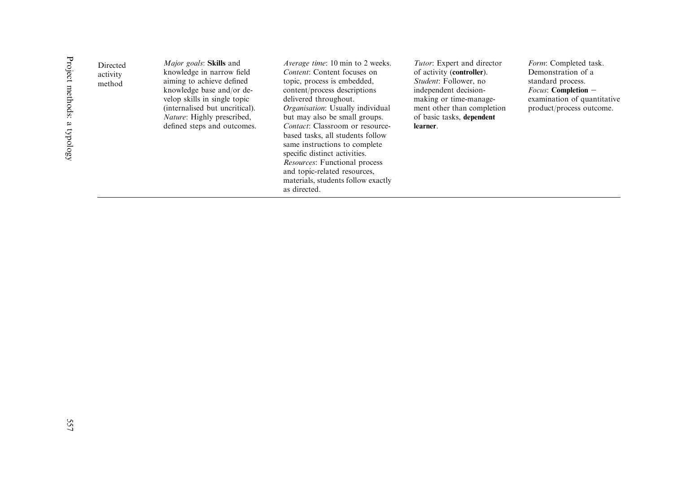| Directed<br>activity<br>method | <i>Major goals:</i> <b>Skills</b> and<br>knowledge in narrow field<br>aiming to achieve defined<br>knowledge base and/or de-<br>velop skills in single topic<br>(internalised but uncritical).<br><i>Nature</i> : Highly prescribed,<br>defined steps and outcomes. | <i>Average time:</i> 10 min to 2 weeks.<br>Content: Content focuses on<br>topic, process is embedded,<br>content/process descriptions<br>delivered throughout.<br>Organisation: Usually individual<br>but may also be small groups.<br>Contact: Classroom or resource-<br>based tasks, all students follow<br>same instructions to complete<br>specific distinct activities.<br><i>Resources:</i> Functional process<br>and topic-related resources,<br>materials, students follow exactly<br>as directed. | <i>Tutor</i> : Expert and director<br>of activity (controller).<br><i>Student</i> : Follower, no<br>independent decision-<br>making or time-manage-<br>ment other than completion<br>of basic tasks, dependent<br>learner. | Form: Completed task.<br>Demonstration of a<br>standard process.<br>Focus: Completion -<br>examination of quantitative<br>product/process outcome. |
|--------------------------------|---------------------------------------------------------------------------------------------------------------------------------------------------------------------------------------------------------------------------------------------------------------------|------------------------------------------------------------------------------------------------------------------------------------------------------------------------------------------------------------------------------------------------------------------------------------------------------------------------------------------------------------------------------------------------------------------------------------------------------------------------------------------------------------|----------------------------------------------------------------------------------------------------------------------------------------------------------------------------------------------------------------------------|----------------------------------------------------------------------------------------------------------------------------------------------------|
|--------------------------------|---------------------------------------------------------------------------------------------------------------------------------------------------------------------------------------------------------------------------------------------------------------------|------------------------------------------------------------------------------------------------------------------------------------------------------------------------------------------------------------------------------------------------------------------------------------------------------------------------------------------------------------------------------------------------------------------------------------------------------------------------------------------------------------|----------------------------------------------------------------------------------------------------------------------------------------------------------------------------------------------------------------------------|----------------------------------------------------------------------------------------------------------------------------------------------------|

557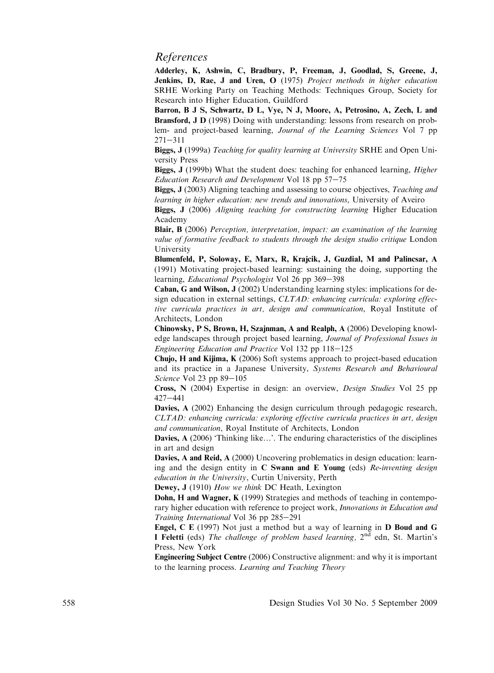#### <span id="page-17-0"></span>References

Adderley, K, Ashwin, C, Bradbury, P, Freeman, J, Goodlad, S, Greene, J, Jenkins, D. Rae, J and Uren, O (1975) Project methods in higher education SRHE Working Party on Teaching Methods: Techniques Group, Society for Research into Higher Education, Guildford

Barron, B J S, Schwartz, D L, Vye, N J, Moore, A, Petrosino, A, Zech, L and Bransford, J D (1998) Doing with understanding: lessons from research on problem- and project-based learning, *Journal of the Learning Sciences* Vol 7 pp  $271 - 311$ 

Biggs, J (1999a) Teaching for quality learning at University SRHE and Open University Press

Biggs, J (1999b) What the student does: teaching for enhanced learning, Higher Education Research and Development Vol  $18$  pp  $57-75$ 

Biggs, J (2003) Aligning teaching and assessing to course objectives, Teaching and learning in higher education: new trends and innovations, University of Aveiro

Biggs, J (2006) Aligning teaching for constructing learning Higher Education Academy

Blair, B (2006) Perception, interpretation, impact: an examination of the learning value of formative feedback to students through the design studio critique London University

Blumenfeld, P, Soloway, E, Marx, R, Krajcik, J, Guzdial, M and Palincsar, A (1991) Motivating project-based learning: sustaining the doing, supporting the learning, Educational Psychologist Vol 26 pp 369-398

Caban, G and Wilson, J (2002) Understanding learning styles: implications for design education in external settings, *CLTAD: enhancing curricula: exploring effec*tive curricula practices in art, design and communication, Royal Institute of Architects, London

Chinowsky, P S, Brown, H, Szajnman, A and Realph, A (2006) Developing knowledge landscapes through project based learning, Journal of Professional Issues in Engineering Education and Practice Vol 132 pp 118-125

Chujo, H and Kijima, K (2006) Soft systems approach to project-based education and its practice in a Japanese University, Systems Research and Behavioural Science Vol 23 pp  $89-105$ 

Cross, N (2004) Expertise in design: an overview, Design Studies Vol 25 pp 427-441

Davies, A (2002) Enhancing the design curriculum through pedagogic research, CLTAD: enhancing curricula: exploring effective curricula practices in art, design and communication, Royal Institute of Architects, London

Davies, A (2006) 'Thinking like...'. The enduring characteristics of the disciplines in art and design

Davies, A and Reid, A (2000) Uncovering problematics in design education: learning and the design entity in  $C$  Swann and  $E$  Young (eds) Re-inventing design education in the University, Curtin University, Perth

Dewey, J (1910) How we think DC Heath, Lexington

Dohn, H and Wagner, K (1999) Strategies and methods of teaching in contemporary higher education with reference to project work, Innovations in Education and Training International Vol 36 pp 285-291

Engel, C E (1997) Not just a method but a way of learning in D Boud and G I Feletti (eds) The challenge of problem based learning,  $2<sup>nd</sup>$  edn, St. Martin's Press, New York

Engineering Subject Centre (2006) Constructive alignment: and why it is important to the learning process. Learning and Teaching Theory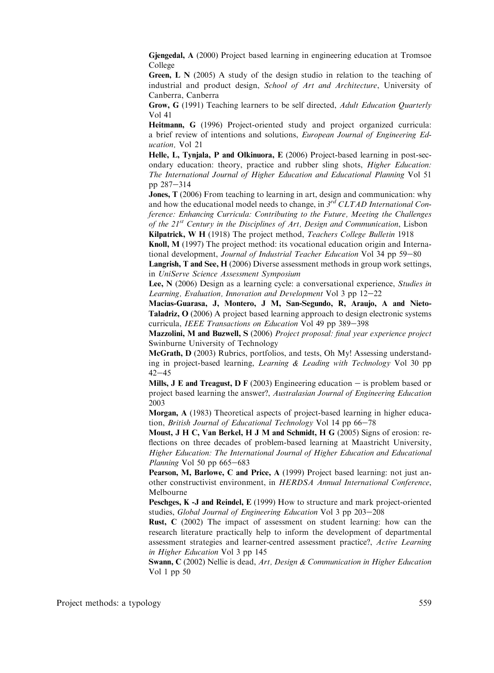<span id="page-18-0"></span>Gjengedal, A (2000) Project based learning in engineering education at Tromsoe College

Green, L N (2005) A study of the design studio in relation to the teaching of industrial and product design, School of Art and Architecture, University of Canberra, Canberra

Grow, G (1991) Teaching learners to be self directed, *Adult Education Quarterly* Vol 41

Heitmann, G (1996) Project-oriented study and project organized curricula: a brief review of intentions and solutions, European Journal of Engineering Education, Vol 21

Helle, L, Tynjala, P and Olkinuora, E (2006) Project-based learning in post-secondary education: theory, practice and rubber sling shots, Higher Education: The International Journal of Higher Education and Educational Planning Vol 51 pp 287-314

Jones, T (2006) From teaching to learning in art, design and communication: why and how the educational model needs to change, in  $3^{rd} CLTAD$  International Conference: Enhancing Curricula: Contributing to the Future, Meeting the Challenges of the  $21^{st}$  Century in the Disciplines of Art, Design and Communication, Lisbon Kilpatrick, W H (1918) The project method, Teachers College Bulletin 1918

Knoll, M (1997) The project method: its vocational education origin and International development, Journal of Industrial Teacher Education Vol 34 pp 59–80

Langrish, T and See, H (2006) Diverse assessment methods in group work settings, in UniServe Science Assessment Symposium

Lee, N (2006) Design as a learning cycle: a conversational experience, Studies in Learning, Evaluation, Innovation and Development Vol 3 pp  $12-22$ 

Macias-Guarasa, J, Montero, J M, San-Segundo, R, Araujo, A and Nieto-Taladriz, O (2006) A project based learning approach to design electronic systems curricula, IEEE Transactions on Education Vol 49 pp 389-398

Mazzolini, M and Buzwell, S (2006) Project proposal: final year experience project Swinburne University of Technology

McGrath, D (2003) Rubrics, portfolios, and tests, Oh My! Assessing understanding in project-based learning, Learning & Leading with Technology Vol 30 pp  $42 - 45$ 

Mills, J E and Treagust, D F (2003) Engineering education  $-$  is problem based or project based learning the answer?, Australasian Journal of Engineering Education 2003

Morgan, A (1983) Theoretical aspects of project-based learning in higher education, British Journal of Educational Technology Vol 14 pp 66-78

Moust, J H C, Van Berkel, H J M and Schmidt, H G (2005) Signs of erosion: reflections on three decades of problem-based learning at Maastricht University, Higher Education: The International Journal of Higher Education and Educational Planning Vol 50 pp  $665-683$ 

Pearson, M, Barlowe, C and Price, A (1999) Project based learning: not just another constructivist environment, in HERDSA Annual International Conference, Melbourne

Peschges, K -J and Reindel, E (1999) How to structure and mark project-oriented studies, Global Journal of Engineering Education Vol 3 pp 203-208

Rust, C (2002) The impact of assessment on student learning: how can the research literature practically help to inform the development of departmental assessment strategies and learner-centred assessment practice?, Active Learning in Higher Education Vol 3 pp 145

Swann, C (2002) Nellie is dead, Art, Design & Communication in Higher Education Vol 1 pp 50